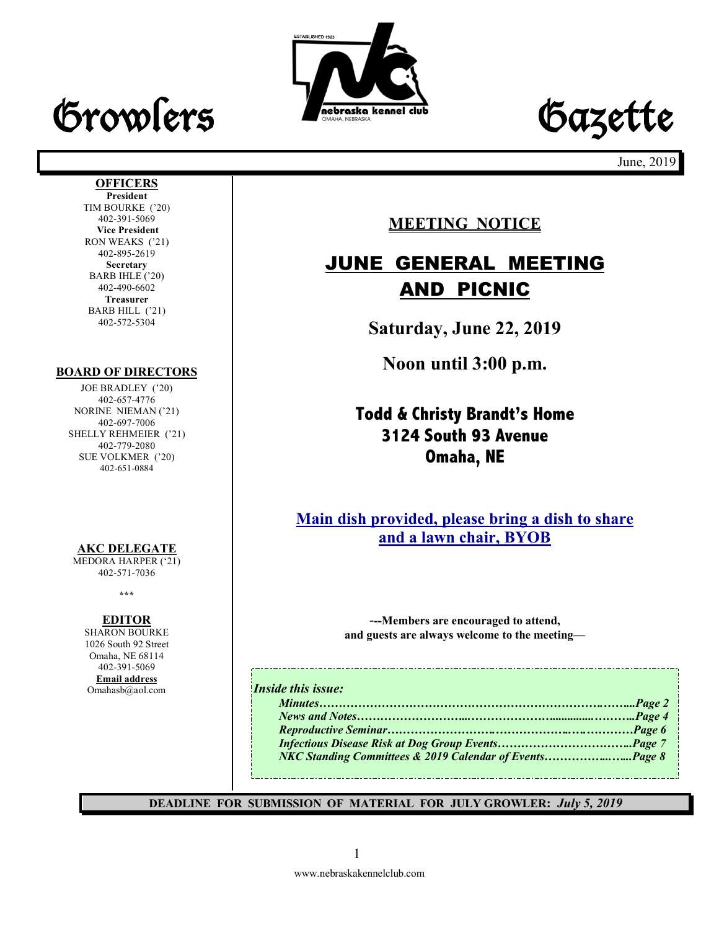# Growlers **Frederate kennel club** Gazette





June, 2019

#### **OFFICERS**

**President** TIM BOURKE ('20) 402-391-5069 **Vice President** RON WEAKS ('21) 402-895-2619 **Secretary** BARB IHLE ('20) 402-490-6602 **Treasurer** BARB HILL ('21) 402-572-5304

#### **BOARD OF DIRECTORS**

JOE BRADLEY ('20) 402-657-4776 NORINE NIEMAN ('21) 402-697-7006 SHELLY REHMEIER ('21) 402-779-2080 SUE VOLKMER ('20) 402-651-0884

#### **AKC DELEGATE**

MEDORA HARPER ('21) 402-571-7036

**\*\*\***

#### **EDITOR**

SHARON BOURKE 1026 South 92 Street Omaha, NE 68114 402-391-5069 **Email address** Omahasb@aol.com

## **MEETING NOTICE**

## JUNE GENERAL MEETING AND PICNIC

**Saturday, June 22, 2019**

**Noon until 3:00 p.m.**

## **Todd & Christy Brandt's Home 3124 South 93 Avenue Omaha, NE**

**Main dish provided, please bring a dish to share and a lawn chair, BYOB**

> -**--Members are encouraged to attend, and guests are always welcome to the meeting—**

#### *Inside this issue:*

| <b>NKC Standing Committees &amp; 2019 Calendar of EventsPage 8</b> |  |
|--------------------------------------------------------------------|--|

-------------------------

**DEADLINE FOR SUBMISSION OF MATERIAL FOR JULY GROWLER:** *July 5, 2019*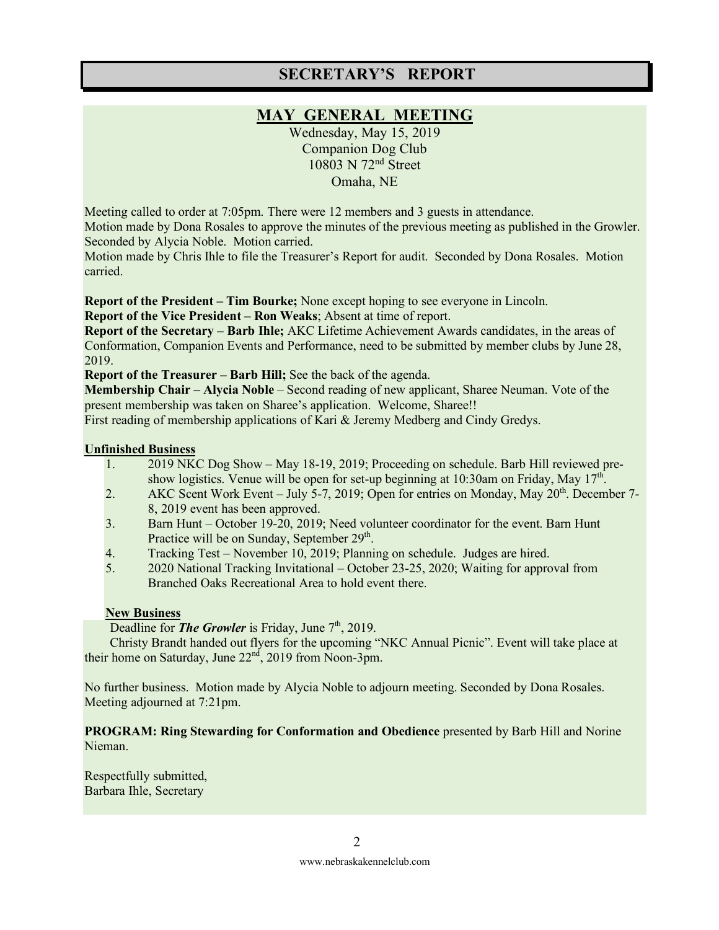### **SECRETARY'S REPORT**

## **MAY GENERAL MEETING**

Wednesday, May 15, 2019 Companion Dog Club 10803 N 72nd Street Omaha, NE

Meeting called to order at 7:05pm. There were 12 members and 3 guests in attendance. Motion made by Dona Rosales to approve the minutes of the previous meeting as published in the Growler. Seconded by Alycia Noble. Motion carried.

Motion made by Chris Ihle to file the Treasurer's Report for audit. Seconded by Dona Rosales. Motion carried.

**Report of the President – Tim Bourke;** None except hoping to see everyone in Lincoln.

**Report of the Vice President – Ron Weaks**; Absent at time of report.

**Report of the Secretary – Barb Ihle;** AKC Lifetime Achievement Awards candidates, in the areas of Conformation, Companion Events and Performance, need to be submitted by member clubs by June 28, 2019.

**Report of the Treasurer – Barb Hill;** See the back of the agenda.

**Membership Chair – Alycia Noble** – Second reading of new applicant, Sharee Neuman. Vote of the present membership was taken on Sharee's application. Welcome, Sharee!!

First reading of membership applications of Kari & Jeremy Medberg and Cindy Gredys.

#### **Unfinished Business**

- 1. 2019 NKC Dog Show May 18-19, 2019; Proceeding on schedule. Barb Hill reviewed preshow logistics. Venue will be open for set-up beginning at  $10:30$ am on Friday, May  $17<sup>th</sup>$ .
- 2. AKC Scent Work Event July 5-7, 2019; Open for entries on Monday, May 20<sup>th</sup>. December 7-8, 2019 event has been approved.
- 3. Barn Hunt October 19-20, 2019; Need volunteer coordinator for the event. Barn Hunt Practice will be on Sunday, September  $29<sup>th</sup>$ .
- 4. Tracking Test November 10, 2019; Planning on schedule. Judges are hired.
- 5. 2020 National Tracking Invitational October 23-25, 2020; Waiting for approval from Branched Oaks Recreational Area to hold event there.

#### **New Business**

Deadline for **The Growler** is Friday, June 7<sup>th</sup>, 2019.

Christy Brandt handed out flyers for the upcoming "NKC Annual Picnic". Event will take place at their home on Saturday, June  $22<sup>nd</sup>$ , 2019 from Noon-3pm.

No further business. Motion made by Alycia Noble to adjourn meeting. Seconded by Dona Rosales. Meeting adjourned at 7:21pm.

#### **PROGRAM: Ring Stewarding for Conformation and Obedience** presented by Barb Hill and Norine Nieman.

Respectfully submitted, Barbara Ihle, Secretary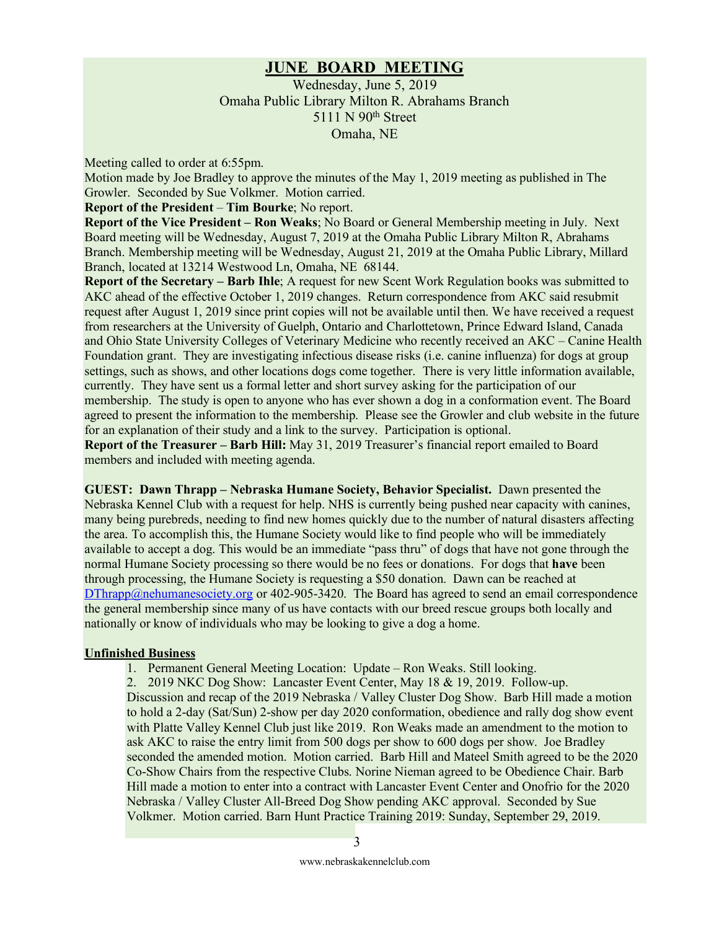#### **JUNE BOARD MEETING**

Wednesday, June 5, 2019 Omaha Public Library Milton R. Abrahams Branch 5111 N 90<sup>th</sup> Street Omaha, NE

Meeting called to order at 6:55pm.

Motion made by Joe Bradley to approve the minutes of the May 1, 2019 meeting as published in The Growler. Seconded by Sue Volkmer. Motion carried.

#### **Report of the President** – **Tim Bourke**; No report.

**Report of the Vice President – Ron Weaks**; No Board or General Membership meeting in July. Next Board meeting will be Wednesday, August 7, 2019 at the Omaha Public Library Milton R, Abrahams Branch. Membership meeting will be Wednesday, August 21, 2019 at the Omaha Public Library, Millard Branch, located at 13214 Westwood Ln, Omaha, NE 68144.

**Report of the Secretary – Barb Ihle**; A request for new Scent Work Regulation books was submitted to AKC ahead of the effective October 1, 2019 changes. Return correspondence from AKC said resubmit request after August 1, 2019 since print copies will not be available until then. We have received a request from researchers at the University of Guelph, Ontario and Charlottetown, Prince Edward Island, Canada and Ohio State University Colleges of Veterinary Medicine who recently received an AKC – Canine Health Foundation grant. They are investigating infectious disease risks (i.e. canine influenza) for dogs at group settings, such as shows, and other locations dogs come together. There is very little information available, currently. They have sent us a formal letter and short survey asking for the participation of our membership. The study is open to anyone who has ever shown a dog in a conformation event. The Board agreed to present the information to the membership. Please see the Growler and club website in the future for an explanation of their study and a link to the survey. Participation is optional.

**Report of the Treasurer – Barb Hill:** May 31, 2019 Treasurer's financial report emailed to Board members and included with meeting agenda.

**GUEST: Dawn Thrapp – Nebraska Humane Society, Behavior Specialist.** Dawn presented the Nebraska Kennel Club with a request for help. NHS is currently being pushed near capacity with canines, many being purebreds, needing to find new homes quickly due to the number of natural disasters affecting the area. To accomplish this, the Humane Society would like to find people who will be immediately available to accept a dog. This would be an immediate "pass thru" of dogs that have not gone through the normal Humane Society processing so there would be no fees or donations. For dogs that **have** been through processing, the Humane Society is requesting a \$50 donation. Dawn can be reached at  $DThrapp@nehumanesociety.org$  or 402-905-3420. The Board has agreed to send an email correspondence the general membership since many of us have contacts with our breed rescue groups both locally and nationally or know of individuals who may be looking to give a dog a home.

#### **Unfinished Business**

1. Permanent General Meeting Location: Update – Ron Weaks. Still looking.

2. 2019 NKC Dog Show: Lancaster Event Center, May 18 & 19, 2019. Follow-up. Discussion and recap of the 2019 Nebraska / Valley Cluster Dog Show. Barb Hill made a motion to hold a 2-day (Sat/Sun) 2-show per day 2020 conformation, obedience and rally dog show event with Platte Valley Kennel Club just like 2019. Ron Weaks made an amendment to the motion to ask AKC to raise the entry limit from 500 dogs per show to 600 dogs per show. Joe Bradley seconded the amended motion. Motion carried. Barb Hill and Mateel Smith agreed to be the 2020 Co-Show Chairs from the respective Clubs. Norine Nieman agreed to be Obedience Chair. Barb Hill made a motion to enter into a contract with Lancaster Event Center and Onofrio for the 2020 Nebraska / Valley Cluster All-Breed Dog Show pending AKC approval. Seconded by Sue Volkmer. Motion carried. Barn Hunt Practice Training 2019: Sunday, September 29, 2019.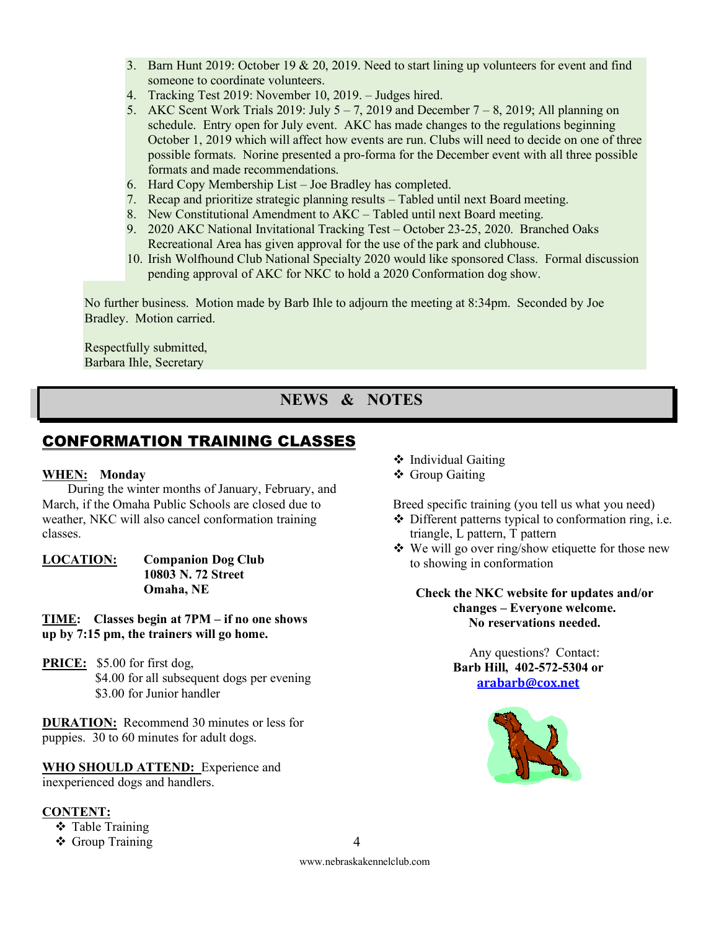- 3. Barn Hunt 2019: October 19 & 20, 2019. Need to start lining up volunteers for event and find someone to coordinate volunteers.
- 4. Tracking Test 2019: November 10, 2019. Judges hired.
- 5. AKC Scent Work Trials 2019: July  $5 7$ , 2019 and December  $7 8$ , 2019; All planning on schedule. Entry open for July event. AKC has made changes to the regulations beginning October 1, 2019 which will affect how events are run. Clubs will need to decide on one of three possible formats. Norine presented a pro-forma for the December event with all three possible formats and made recommendations.
- 6. Hard Copy Membership List Joe Bradley has completed.
- 7. Recap and prioritize strategic planning results Tabled until next Board meeting.
- 8. New Constitutional Amendment to AKC Tabled until next Board meeting.
- 9. 2020 AKC National Invitational Tracking Test October 23-25, 2020. Branched Oaks Recreational Area has given approval for the use of the park and clubhouse.
- 10. Irish Wolfhound Club National Specialty 2020 would like sponsored Class. Formal discussion pending approval of AKC for NKC to hold a 2020 Conformation dog show.

No further business. Motion made by Barb Ihle to adjourn the meeting at 8:34pm. Seconded by Joe Bradley. Motion carried.

Respectfully submitted, Barbara Ihle, Secretary

## **NEWS & NOTES**

## CONFORMATION TRAINING CLASSES

#### **WHEN: Monday**

During the winter months of January, February, and March, if the Omaha Public Schools are closed due to weather, NKC will also cancel conformation training classes.

**LOCATION: Companion Dog Club 10803 N. 72 Street Omaha, NE**

**TIME: Classes begin at 7PM – if no one shows up by 7:15 pm, the trainers will go home.**

**PRICE:** \$5.00 for first dog, \$4.00 for all subsequent dogs per evening \$3.00 for Junior handler

**DURATION:** Recommend 30 minutes or less for puppies. 30 to 60 minutes for adult dogs.

**WHO SHOULD ATTEND:** Experience and inexperienced dogs and handlers.

#### **CONTENT:**

- **❖** Table Training
- ❖ Group Training
- $\div$  Individual Gaiting
- ❖ Group Gaiting

Breed specific training (you tell us what you need)

- $\triangle$  Different patterns typical to conformation ring, i.e. triangle, L pattern, T pattern
- $\bullet$  We will go over ring/show etiquette for those new to showing in conformation

**Check the NKC website for updates and/or changes – Everyone welcome. No reservations needed.**

> Any questions? Contact: **Barb Hill, 402-572-5304 or arabarb@cox.net**



www.nebraskakennelclub.com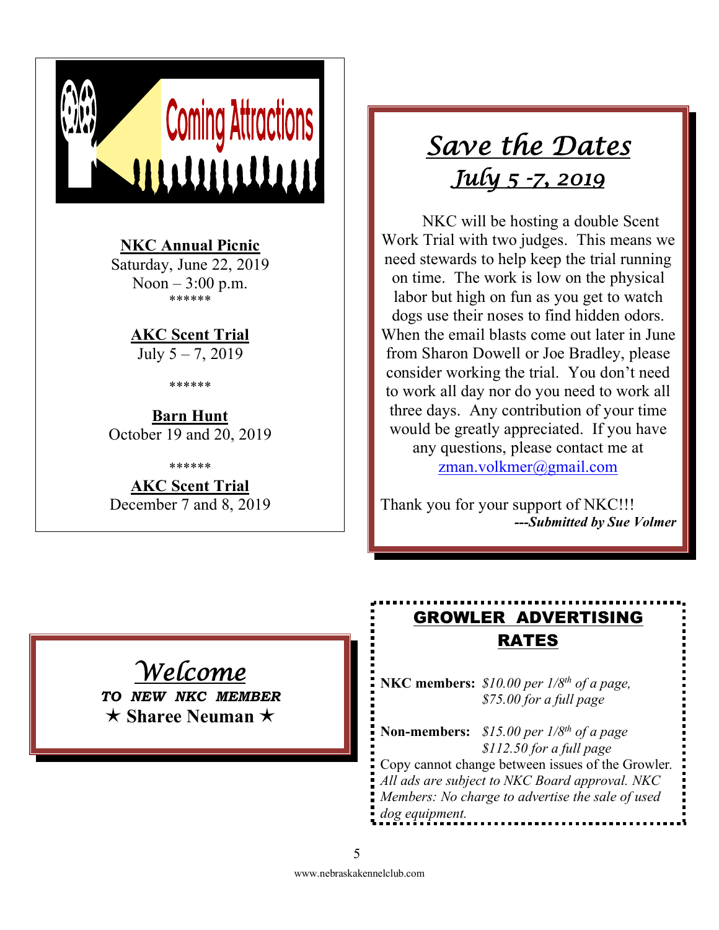

**NKC Annual Picnic**

Saturday, June 22, 2019 Noon  $-3:00$  p.m. \*\*\*\*\*\*

> **AKC Scent Trial** July 5 – 7, 2019

> > \*\*\*\*\*\*

**Barn Hunt** October 19 and 20, 2019

\*\*\*\*\*\*

**AKC Scent Trial** December 7 and 8, 2019

## *Save the Dates July 5 -7, 2019*

NKC will be hosting a double Scent Work Trial with two judges. This means we need stewards to help keep the trial running on time. The work is low on the physical labor but high on fun as you get to watch dogs use their noses to find hidden odors. When the email blasts come out later in June from Sharon Dowell or Joe Bradley, please consider working the trial. You don't need to work all day nor do you need to work all three days. Any contribution of your time would be greatly appreciated. If you have any questions, please contact me at zman.volkmer@gmail.com

Thank you for your support of NKC!!! *---Submitted by Sue Volmer*

## *Welcome*

*TO NEW NKC MEMBER* é **Sharee Neuman** é

## GROWLER ADVERTISING RATES

**NKC members:** *\$10.00 per 1/8th of a page, \$75.00 for a full page* 

**Non-members:** *\$15.00 per 1/8th of a page \$112.50 for a full page* Copy cannot change between issues of the Growler*. All ads are subject to NKC Board approval. NKC Members: No charge to advertise the sale of used dog equipment.*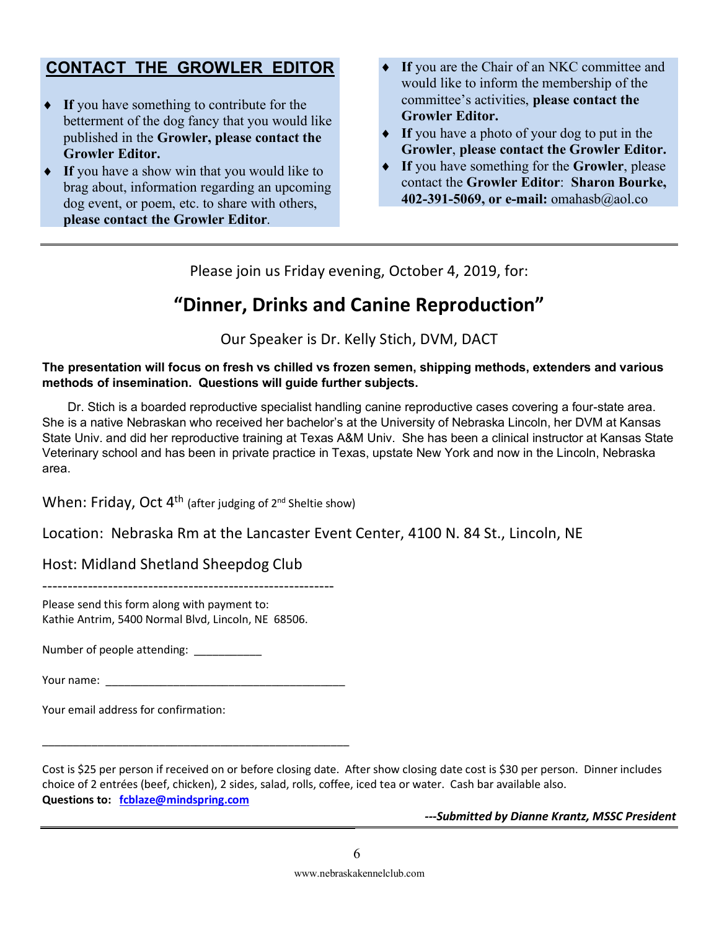## **CONTACT THE GROWLER EDITOR**

- ◆ If you have something to contribute for the betterment of the dog fancy that you would like published in the **Growler, please contact the Growler Editor.**
- If you have a show win that you would like to brag about, information regarding an upcoming dog event, or poem, etc. to share with others, **please contact the Growler Editor**.
- If you are the Chair of an NKC committee and would like to inform the membership of the committee's activities, **please contact the Growler Editor.**
- If you have a photo of your dog to put in the **Growler**, **please contact the Growler Editor.**
- ◆ If you have something for the **Growler**, please contact the **Growler Editor**: **Sharon Bourke, 402-391-5069, or e-mail:** omahasb@aol.co

Please join us Friday evening, October 4, 2019, for:

## **"Dinner, Drinks and Canine Reproduction"**

Our Speaker is Dr. Kelly Stich, DVM, DACT

#### **The presentation will focus on fresh vs chilled vs frozen semen, shipping methods, extenders and various methods of insemination. Questions will guide further subjects.**

Dr. Stich is a boarded reproductive specialist handling canine reproductive cases covering a four-state area. She is a native Nebraskan who received her bachelor's at the University of Nebraska Lincoln, her DVM at Kansas State Univ. and did her reproductive training at Texas A&M Univ. She has been a clinical instructor at Kansas State Veterinary school and has been in private practice in Texas, upstate New York and now in the Lincoln, Nebraska area.

When: Friday, Oct  $4^{th}$  (after judging of  $2^{nd}$  Sheltie show)

Location: Nebraska Rm at the Lancaster Event Center, 4100 N. 84 St., Lincoln, NE

Host: Midland Shetland Sheepdog Club

----------------------------------------------------------

Please send this form along with payment to: Kathie Antrim, 5400 Normal Blvd, Lincoln, NE 68506.

Number of people attending:

| Your name: |  |
|------------|--|
|------------|--|

\_\_\_\_\_\_\_\_\_\_\_\_\_\_\_\_\_\_\_\_\_\_\_\_\_\_\_\_\_\_\_\_\_\_\_\_\_\_\_\_\_\_\_\_\_\_\_\_\_\_

Your email address for confirmation:

Cost is \$25 per person if received on or before closing date. After show closing date cost is \$30 per person. Dinner includes choice of 2 entrées (beef, chicken), 2 sides, salad, rolls, coffee, iced tea or water. Cash bar available also. **Questions to: fcblaze@mindspring.com**

*---Submitted by Dianne Krantz, MSSC President*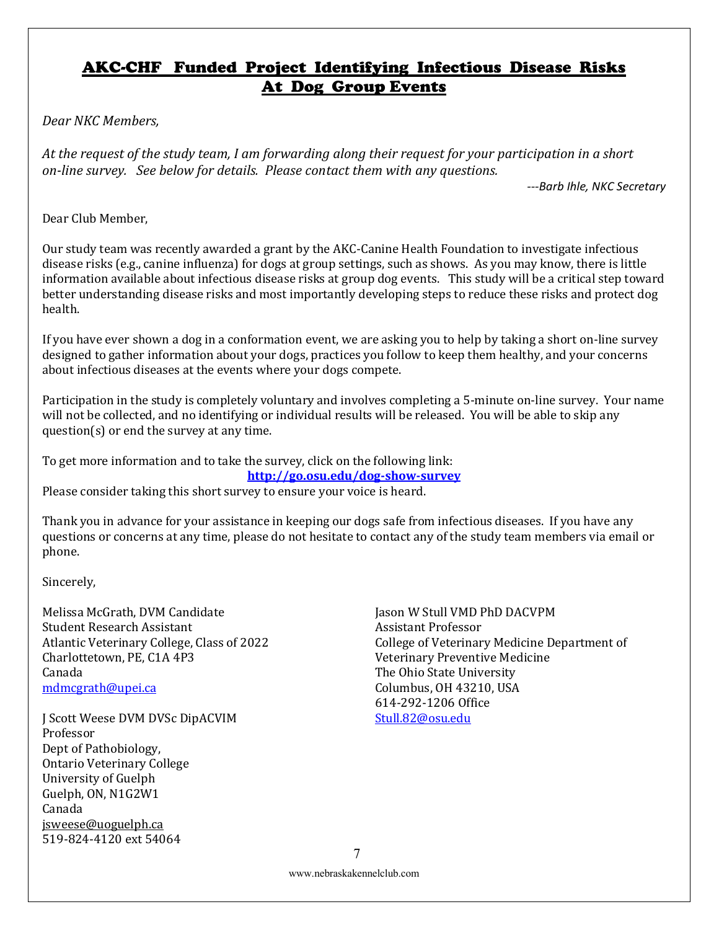## AKC-CHF Funded Project Identifying Infectious Disease Risks At Dog Group Events

*Dear NKC Members,*

At the request of the study team, I am forwarding along their request for your participation in a short *on-line survey.* See below for details. Please contact them with any questions.

*---Barb Ihle, NKC Secretary*

Dear Club Member.

Our study team was recently awarded a grant by the AKC-Canine Health Foundation to investigate infectious disease risks (e.g., canine influenza) for dogs at group settings, such as shows. As you may know, there is little information available about infectious disease risks at group dog events. This study will be a critical step toward better understanding disease risks and most importantly developing steps to reduce these risks and protect dog health.

If you have ever shown a dog in a conformation event, we are asking you to help by taking a short on-line survey designed to gather information about your dogs, practices you follow to keep them healthy, and your concerns about infectious diseases at the events where your dogs compete.

Participation in the study is completely voluntary and involves completing a 5-minute on-line survey. Your name will not be collected, and no identifying or individual results will be released. You will be able to skip any question(s) or end the survey at any time.

To get more information and to take the survey, click on the following link: **http://go.osu.edu/dog-show-survey**

Please consider taking this short survey to ensure your voice is heard.

Thank you in advance for your assistance in keeping our dogs safe from infectious diseases. If you have any questions or concerns at any time, please do not hesitate to contact any of the study team members via email or phone.

Sincerely,

Melissa McGrath, DVM Candidate **Student Research Assistant** Atlantic Veterinary College, Class of 2022 Charlottetown, PE, C1A 4P3 Canada mdmcgrath@upei.ca

J Scott Weese DVM DVSc DipACVIM Professor Dept of Pathobiology, Ontario Veterinary College University of Guelph Guelph, ON, N1G2W1 Canada jsweese@uoguelph.ca 519-824-4120 ext 54064

Jason W Stull VMD PhD DACVPM Assistant Professor College of Veterinary Medicine Department of Veterinary Preventive Medicine The Ohio State University Columbus, OH 43210, USA 614-292-1206 Office Stull.82@osu.edu